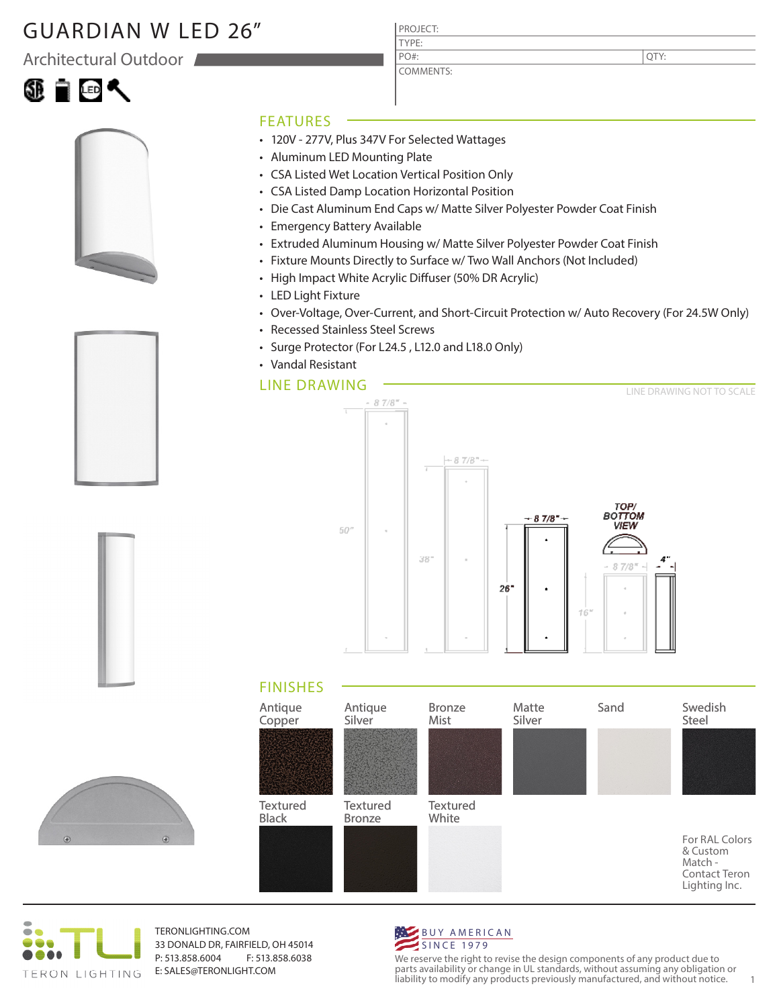## GUARDIAN W LED 26"

Architectural Outdoor















• 120V - 277V, Plus 347V For Selected Wattages

PROJECT: TYPE:

PO#:

COMMENTS:

- Aluminum LED Mounting Plate
- CSA Listed Wet Location Vertical Position Only
- CSA Listed Damp Location Horizontal Position
- Die Cast Aluminum End Caps w/ Matte Silver Polyester Powder Coat Finish
- Emergency Battery Available
- Extruded Aluminum Housing w/ Matte Silver Polyester Powder Coat Finish
- Fixture Mounts Directly to Surface w/ Two Wall Anchors (Not Included)
- High Impact White Acrylic Diffuser (50% DR Acrylic)
- LED Light Fixture
- Over-Voltage, Over-Current, and Short-Circuit Protection w/ Auto Recovery (For 24.5W Only)
- Recessed Stainless Steel Screws
- Surge Protector (For L24.5 , L12.0 and L18.0 Only)
- Vandal Resistant

## LINE DRAWING



## FINISHES





TERONLIGHTING.COM 33 DONALD DR, FAIRFIELD, OH 45014 P: 513.858.6004 F: 513.858.6038 E: SALES@TERONLIGHT.COM



We reserve the right to revise the design components of any product due to parts availability or change in UL standards, without assuming any obligation or liability to modify any products previously manufactured, and without notice. 1

QTY: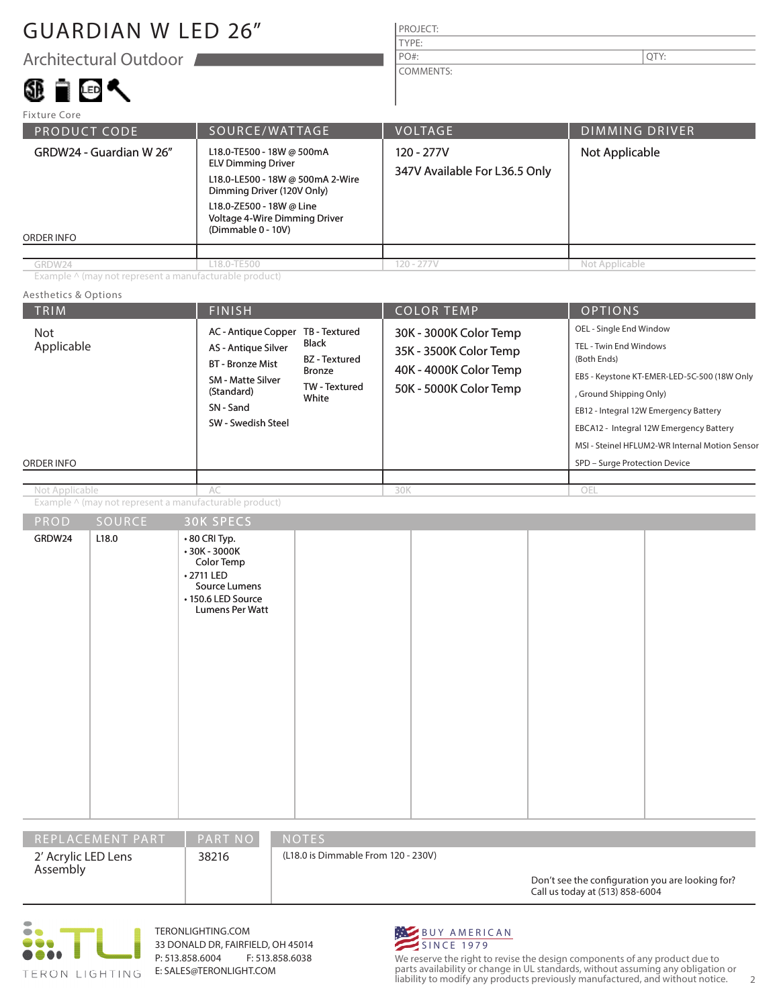## GUARDIAN W LED 26"

Architectural Outdoor

### **TIGK** 6B.

### PROJECT: TYPE: COMMENTS: PO#:  $\vert$  QTY:

| <b>Fixture Core</b>                                                                                                                                                                                                                                  |             |                                             |                       |  |
|------------------------------------------------------------------------------------------------------------------------------------------------------------------------------------------------------------------------------------------------------|-------------|---------------------------------------------|-----------------------|--|
| SOURCE/WATTAGE<br><b>PRODUCT CODE</b>                                                                                                                                                                                                                |             | <b>VOLTAGE</b>                              | <b>DIMMING DRIVER</b> |  |
| L18.0-TE500 - 18W @ 500mA<br>GRDW24 - Guardian W 26"<br><b>ELV Dimming Driver</b><br>L18.0-LE500 - 18W @ 500mA 2-Wire<br>Dimming Driver (120V Only)<br>L18.0-ZE500 - 18W @ Line<br>Voltage 4-Wire Dimming Driver<br>(Dimmable 0 - 10V)<br>ORDER INFO |             | 120 - 277V<br>347V Available For L36.5 Only | Not Applicable        |  |
|                                                                                                                                                                                                                                                      |             |                                             |                       |  |
| GRDW24                                                                                                                                                                                                                                               | L18.0-TE500 | $120 - 277V$                                | Not Applicable        |  |

Example ^ (may not represent a manufacturable product)

#### TRIM  $\vert$  Finish  $\vert$  Color Temp  $\vert$  Options ORDER INFO Aesthetics & Options PROD SOURCE 30K SPECS Example ^ (may not represent a manufacturable product) OEL - Single End Window TEL - Twin End Windows (Both Ends) EB5 - Keystone KT-EMER-LED-5C-500 (18W Only , Ground Shipping Only) EB12 - Integral 12W Emergency Battery EBCA12 - Integral 12W Emergency Battery MSI - Steinel HFLUM2-WR Internal Motion Sensor SPD – Surge Protection Device OEL 30K - 3000K Color Temp 35K - 3500K Color Temp 40K - 4000K Color Temp 50K - 5000K Color Temp  $AC$  30K AC - Antique Copper TB - Textured AS - Antique Silver BT - Bronze Mist SM - Matte Silver (Standard) SN - Sand SW - Swedish Steel Black BZ - Textured Bronze TW - Textured White Not Applicable Not Applicable

| <b>PRUD</b>                                 | <b>SUURLE</b> | <b>SUNSPECS</b>                                                                                                                  |  |  |  |
|---------------------------------------------|---------------|----------------------------------------------------------------------------------------------------------------------------------|--|--|--|
| GRDW24                                      | L18.0         | $\cdot$ 80 CRI Typ.<br>$\cdot$ 30K - 3000K<br>Color Temp<br>• 2711 LED<br>Source Lumens<br>• 150.6 LED Source<br>Lumens Per Watt |  |  |  |
| PART NO<br>REPLACEMENT PART<br><b>NOTES</b> |               |                                                                                                                                  |  |  |  |

2' Acrylic LED Lens Assembly

38216

(L18.0 is Dimmable From 120 - 230V)

Don't see the configuration you are looking for? Call us today at (513) 858-6004



TERONLIGHTING.COM 33 DONALD DR, FAIRFIELD, OH 45014 P: 513.858.6004 F: 513.858.6038 E: SALES@TERONLIGHT.COM



We reserve the right to revise the design components of any product due to parts availability or change in UL standards, without assuming any obligation or liability to modify any products previously manufactured, and without notice. 2